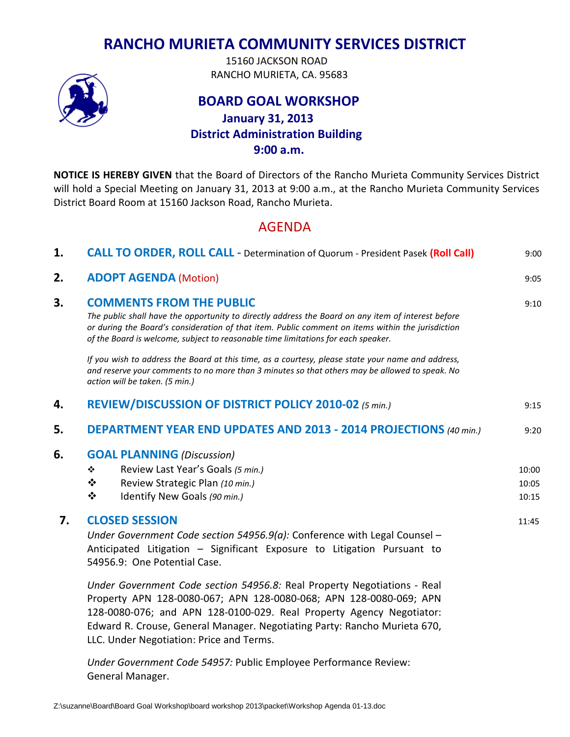## **RANCHO MURIETA COMMUNITY SERVICES DISTRICT**

 15160 JACKSON ROAD RANCHO MURIETA, CA. 95683

## **BOARD GOAL WORKSHOP January 31, 2013 District Administration Building 9:00 a.m.**

**NOTICE IS HEREBY GIVEN** that the Board of Directors of the Rancho Murieta Community Services District will hold a Special Meeting on January 31, 2013 at 9:00 a.m., at the Rancho Murieta Community Services District Board Room at 15160 Jackson Road, Rancho Murieta.

## AGENDA

| 1. | <b>CALL TO ORDER, ROLL CALL - Determination of Quorum - President Pasek (Roll Call)</b>                                                                                                                                                                                                                                         | 9:00  |
|----|---------------------------------------------------------------------------------------------------------------------------------------------------------------------------------------------------------------------------------------------------------------------------------------------------------------------------------|-------|
| 2. | <b>ADOPT AGENDA (Motion)</b>                                                                                                                                                                                                                                                                                                    | 9:05  |
| 3. | <b>COMMENTS FROM THE PUBLIC</b><br>The public shall have the opportunity to directly address the Board on any item of interest before<br>or during the Board's consideration of that item. Public comment on items within the jurisdiction<br>of the Board is welcome, subject to reasonable time limitations for each speaker. | 9:10  |
|    | If you wish to address the Board at this time, as a courtesy, please state your name and address,<br>and reserve your comments to no more than 3 minutes so that others may be allowed to speak. No<br>action will be taken. (5 min.)                                                                                           |       |
| 4. | REVIEW/DISCUSSION OF DISTRICT POLICY 2010-02 (5 min.)                                                                                                                                                                                                                                                                           | 9:15  |
| 5. | DEPARTMENT YEAR END UPDATES AND 2013 - 2014 PROJECTIONS (40 min.)                                                                                                                                                                                                                                                               | 9:20  |
| 6. | <b>GOAL PLANNING (Discussion)</b>                                                                                                                                                                                                                                                                                               |       |
|    | Review Last Year's Goals (5 min.)<br>❖                                                                                                                                                                                                                                                                                          | 10:00 |
|    | ❖<br>Review Strategic Plan (10 min.)                                                                                                                                                                                                                                                                                            | 10:05 |
|    | ❖<br>Identify New Goals (90 min.)                                                                                                                                                                                                                                                                                               | 10:15 |
| 7. | <b>CLOSED SESSION</b>                                                                                                                                                                                                                                                                                                           | 11:45 |
|    | Under Government Code section 54956.9(a): Conference with Legal Counsel -<br>Anticipated Litigation - Significant Exposure to Litigation Pursuant to<br>54956.9: One Potential Case.                                                                                                                                            |       |
|    | Under Government Code section 54956.8: Real Property Negotiations - Real<br>Property APN 128-0080-067; APN 128-0080-068; APN 128-0080-069; APN<br>$130,0000,070,$ and $101,130,0100,030,$ $\text{Real}$ $\text{Dissent}$ , $\text{Aess}$ , Negatiates,                                                                          |       |

128-0080-076; and APN 128-0100-029. Real Property Agency Negotiator: Edward R. Crouse, General Manager. Negotiating Party: Rancho Murieta 670, LLC. Under Negotiation: Price and Terms.

*Under Government Code 54957:* Public Employee Performance Review: General Manager.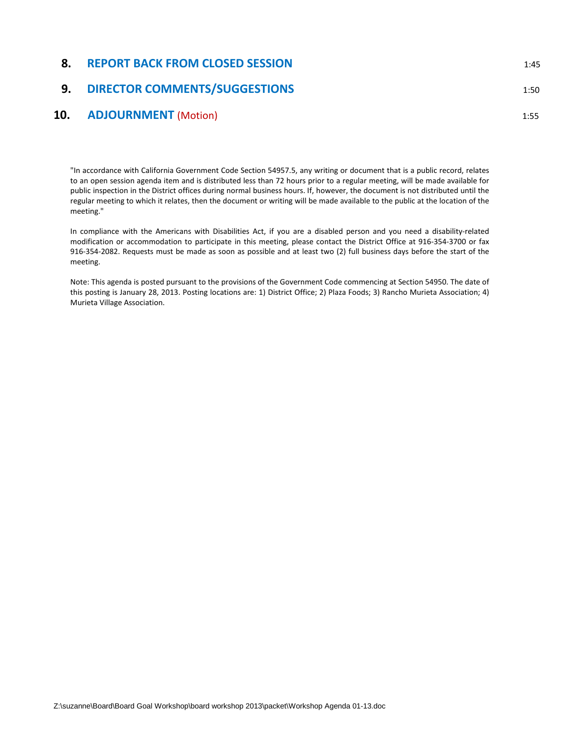# **8. REPORT BACK FROM CLOSED SESSION** 1:45 **9. DIRECTOR COMMENTS/SUGGESTIONS** 1:50

#### **10. ADJOURNMENT** (Motion) 1:55

"In accordance with California Government Code Section 54957.5, any writing or document that is a public record, relates to an open session agenda item and is distributed less than 72 hours prior to a regular meeting, will be made available for public inspection in the District offices during normal business hours. If, however, the document is not distributed until the regular meeting to which it relates, then the document or writing will be made available to the public at the location of the meeting."

In compliance with the Americans with Disabilities Act, if you are a disabled person and you need a disability-related modification or accommodation to participate in this meeting, please contact the District Office at 916-354-3700 or fax 916-354-2082. Requests must be made as soon as possible and at least two (2) full business days before the start of the meeting.

Note: This agenda is posted pursuant to the provisions of the Government Code commencing at Section 54950. The date of this posting is January 28, 2013. Posting locations are: 1) District Office; 2) Plaza Foods; 3) Rancho Murieta Association; 4) Murieta Village Association.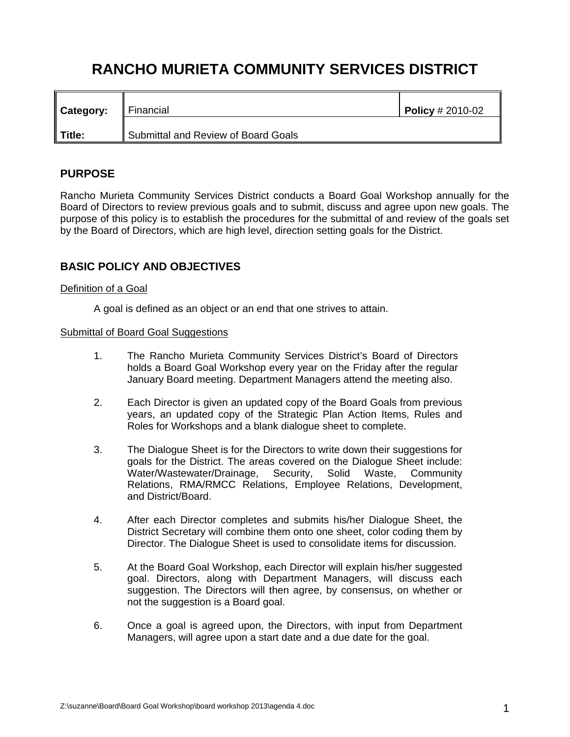# **RANCHO MURIETA COMMUNITY SERVICES DISTRICT**

| Category: | Financial                           | Policy $\# 2010 - 02$ |
|-----------|-------------------------------------|-----------------------|
| Title:    | Submittal and Review of Board Goals |                       |

#### **PURPOSE**

Rancho Murieta Community Services District conducts a Board Goal Workshop annually for the Board of Directors to review previous goals and to submit, discuss and agree upon new goals. The purpose of this policy is to establish the procedures for the submittal of and review of the goals set by the Board of Directors, which are high level, direction setting goals for the District.

#### **BASIC POLICY AND OBJECTIVES**

#### Definition of a Goal

A goal is defined as an object or an end that one strives to attain.

#### Submittal of Board Goal Suggestions

- 1. The Rancho Murieta Community Services District's Board of Directors holds a Board Goal Workshop every year on the Friday after the regular January Board meeting. Department Managers attend the meeting also.
- 2. Each Director is given an updated copy of the Board Goals from previous years, an updated copy of the Strategic Plan Action Items, Rules and Roles for Workshops and a blank dialogue sheet to complete.
- 3. The Dialogue Sheet is for the Directors to write down their suggestions for goals for the District. The areas covered on the Dialogue Sheet include: Water/Wastewater/Drainage, Security, Solid Waste, Community Relations, RMA/RMCC Relations, Employee Relations, Development, and District/Board.
- 4. After each Director completes and submits his/her Dialogue Sheet, the District Secretary will combine them onto one sheet, color coding them by Director. The Dialogue Sheet is used to consolidate items for discussion.
- 5. At the Board Goal Workshop, each Director will explain his/her suggested goal. Directors, along with Department Managers, will discuss each suggestion. The Directors will then agree, by consensus, on whether or not the suggestion is a Board goal.
- 6. Once a goal is agreed upon, the Directors, with input from Department Managers, will agree upon a start date and a due date for the goal.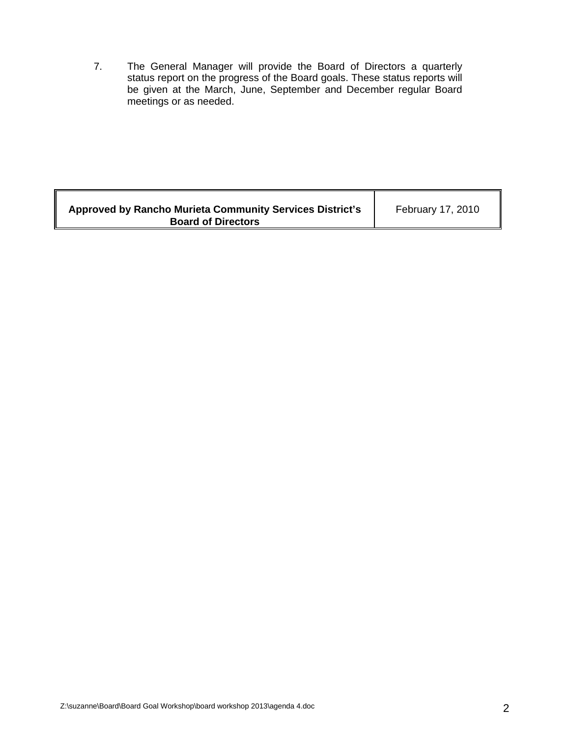7. The General Manager will provide the Board of Directors a quarterly status report on the progress of the Board goals. These status reports will be given at the March, June, September and December regular Board meetings or as needed.

| Approved by Rancho Murieta Community Services District's<br><b>Board of Directors</b> | February 17, 2010 |
|---------------------------------------------------------------------------------------|-------------------|
|---------------------------------------------------------------------------------------|-------------------|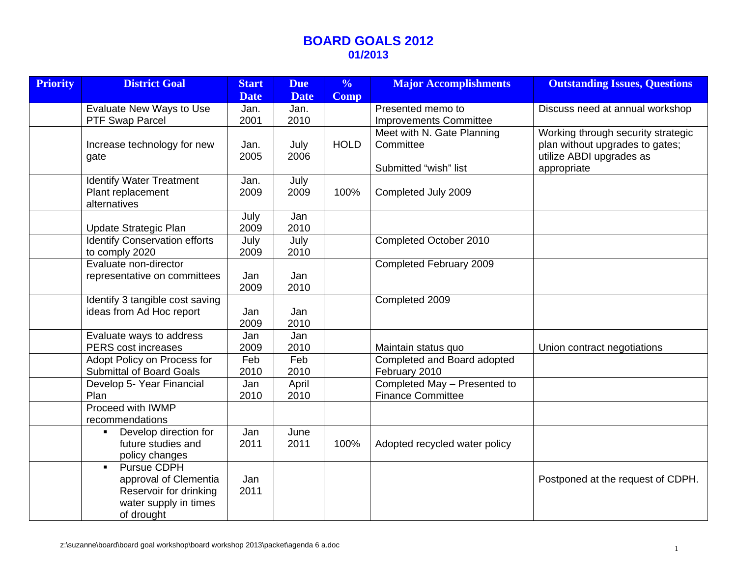### **BOARD GOALS 2012 01/2013**

| <b>Priority</b> | <b>District Goal</b>                                                                                                           | <b>Start</b> | <b>Due</b>    | $\frac{0}{0}$ | <b>Major Accomplishments</b>                                     | <b>Outstanding Issues, Questions</b>                                                                             |
|-----------------|--------------------------------------------------------------------------------------------------------------------------------|--------------|---------------|---------------|------------------------------------------------------------------|------------------------------------------------------------------------------------------------------------------|
|                 |                                                                                                                                | <b>Date</b>  | <b>Date</b>   | <b>Comp</b>   |                                                                  |                                                                                                                  |
|                 | Evaluate New Ways to Use                                                                                                       | Jan.         | Jan.          |               | Presented memo to                                                | Discuss need at annual workshop                                                                                  |
|                 | PTF Swap Parcel                                                                                                                | 2001         | 2010          |               | <b>Improvements Committee</b>                                    |                                                                                                                  |
|                 | Increase technology for new<br>gate                                                                                            | Jan.<br>2005 | July<br>2006  | <b>HOLD</b>   | Meet with N. Gate Planning<br>Committee<br>Submitted "wish" list | Working through security strategic<br>plan without upgrades to gates;<br>utilize ABDI upgrades as<br>appropriate |
|                 | <b>Identify Water Treatment</b><br>Plant replacement<br>alternatives                                                           | Jan.<br>2009 | July<br>2009  | 100%          | Completed July 2009                                              |                                                                                                                  |
|                 | Update Strategic Plan                                                                                                          | July<br>2009 | Jan<br>2010   |               |                                                                  |                                                                                                                  |
|                 | <b>Identify Conservation efforts</b><br>to comply 2020                                                                         | July<br>2009 | July<br>2010  |               | Completed October 2010                                           |                                                                                                                  |
|                 | Evaluate non-director<br>representative on committees                                                                          | Jan<br>2009  | Jan<br>2010   |               | Completed February 2009                                          |                                                                                                                  |
|                 | Identify 3 tangible cost saving<br>ideas from Ad Hoc report                                                                    | Jan<br>2009  | Jan<br>2010   |               | Completed 2009                                                   |                                                                                                                  |
|                 | Evaluate ways to address<br>PERS cost increases                                                                                | Jan<br>2009  | Jan<br>2010   |               | Maintain status quo                                              | Union contract negotiations                                                                                      |
|                 | Adopt Policy on Process for<br><b>Submittal of Board Goals</b>                                                                 | Feb<br>2010  | Feb<br>2010   |               | Completed and Board adopted<br>February 2010                     |                                                                                                                  |
|                 | Develop 5- Year Financial<br>Plan                                                                                              | Jan<br>2010  | April<br>2010 |               | Completed May - Presented to<br><b>Finance Committee</b>         |                                                                                                                  |
|                 | Proceed with IWMP<br>recommendations                                                                                           |              |               |               |                                                                  |                                                                                                                  |
|                 | Develop direction for<br>$\blacksquare$<br>future studies and<br>policy changes                                                | Jan<br>2011  | June<br>2011  | 100%          | Adopted recycled water policy                                    |                                                                                                                  |
|                 | <b>Pursue CDPH</b><br>$\blacksquare$<br>approval of Clementia<br>Reservoir for drinking<br>water supply in times<br>of drought | Jan<br>2011  |               |               |                                                                  | Postponed at the request of CDPH.                                                                                |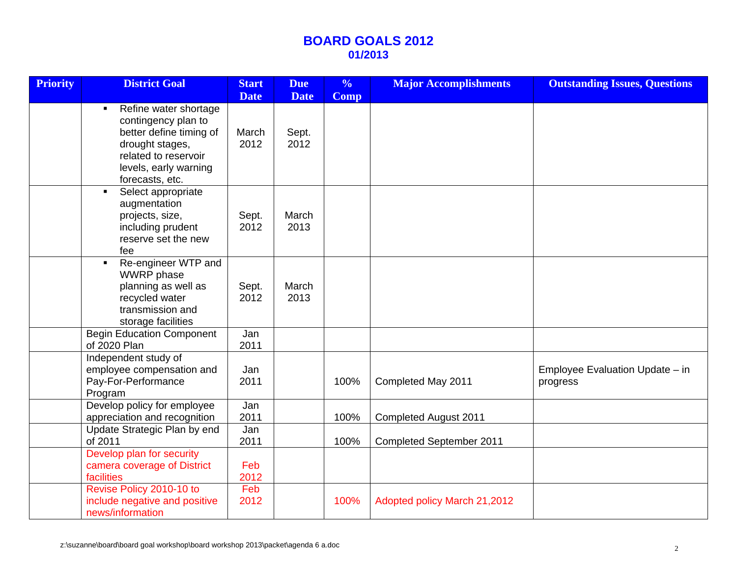## **BOARD GOALS 2012 01/2013**

| <b>Priority</b> | <b>District Goal</b>                                                                                                                                                             | <b>Start</b><br><b>Date</b> | <b>Due</b><br><b>Date</b> | $\frac{6}{6}$<br><b>Comp</b> | <b>Major Accomplishments</b>    | <b>Outstanding Issues, Questions</b>        |
|-----------------|----------------------------------------------------------------------------------------------------------------------------------------------------------------------------------|-----------------------------|---------------------------|------------------------------|---------------------------------|---------------------------------------------|
|                 | Refine water shortage<br>$\blacksquare$<br>contingency plan to<br>better define timing of<br>drought stages,<br>related to reservoir<br>levels, early warning<br>forecasts, etc. | March<br>2012               | Sept.<br>2012             |                              |                                 |                                             |
|                 | Select appropriate<br>$\blacksquare$<br>augmentation<br>projects, size,<br>including prudent<br>reserve set the new<br>fee                                                       | Sept.<br>2012               | March<br>2013             |                              |                                 |                                             |
|                 | Re-engineer WTP and<br>$\blacksquare$<br><b>WWRP</b> phase<br>planning as well as<br>recycled water<br>transmission and<br>storage facilities                                    | Sept.<br>2012               | March<br>2013             |                              |                                 |                                             |
|                 | <b>Begin Education Component</b><br>of 2020 Plan                                                                                                                                 | Jan<br>2011                 |                           |                              |                                 |                                             |
|                 | Independent study of<br>employee compensation and<br>Pay-For-Performance<br>Program                                                                                              | Jan<br>2011                 |                           | 100%                         | Completed May 2011              | Employee Evaluation Update - in<br>progress |
|                 | Develop policy for employee<br>appreciation and recognition                                                                                                                      | Jan<br>2011                 |                           | 100%                         | <b>Completed August 2011</b>    |                                             |
|                 | Update Strategic Plan by end<br>of 2011                                                                                                                                          | Jan<br>2011                 |                           | 100%                         | <b>Completed September 2011</b> |                                             |
|                 | Develop plan for security<br>camera coverage of District<br>facilities                                                                                                           | Feb<br>2012                 |                           |                              |                                 |                                             |
|                 | Revise Policy 2010-10 to<br>include negative and positive<br>news/information                                                                                                    | Feb<br>2012                 |                           | 100%                         | Adopted policy March 21,2012    |                                             |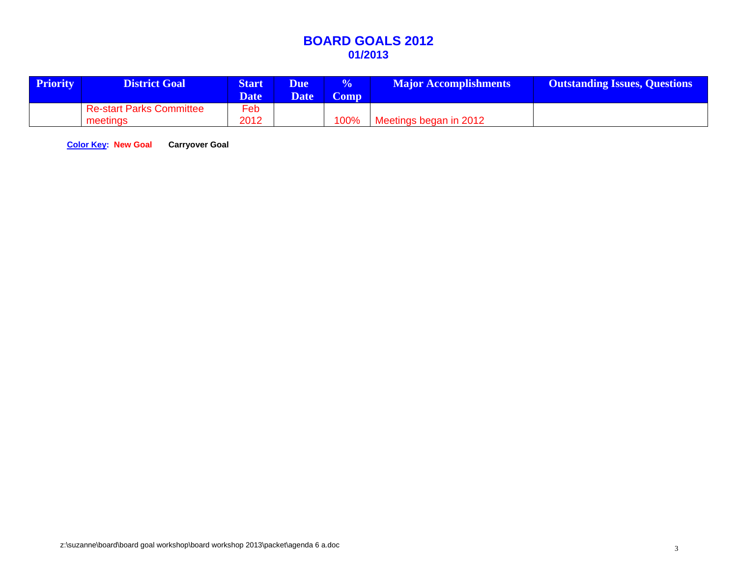## **BOARD GOALS 2012 01/2013**

| <b>Priority</b> | <b>District Goal</b>                        | <b>Start</b><br><b>Date</b> | <b>Due</b><br><b>Date</b> | $\sqrt[6]{\ }$<br>Comp | <b>Major Accomplishments</b> | <b>Outstanding Issues, Questions</b> |
|-----------------|---------------------------------------------|-----------------------------|---------------------------|------------------------|------------------------------|--------------------------------------|
|                 | <b>Re-start Parks Committee</b><br>meetings | Feb<br>2012                 |                           | 100%                   | Meetings began in 2012       |                                      |

**Color Key: New Goal Carryover Goal**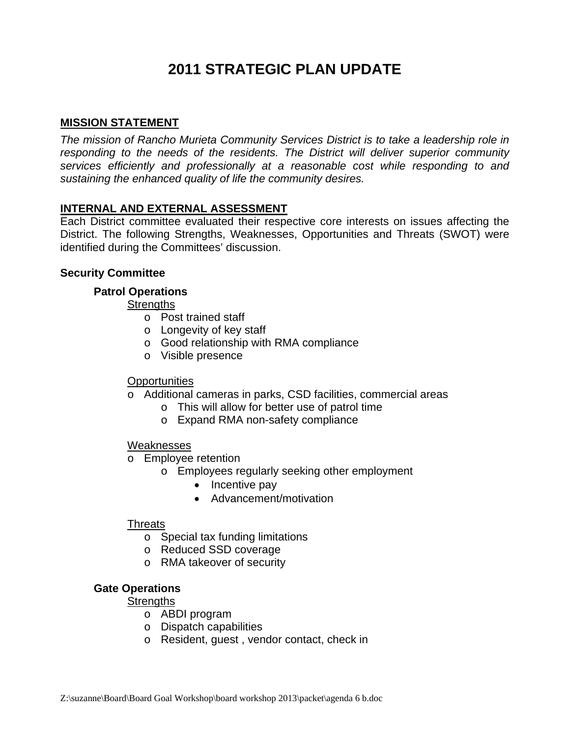# **2011 STRATEGIC PLAN UPDATE**

#### **MISSION STATEMENT**

*The mission of Rancho Murieta Community Services District is to take a leadership role in responding to the needs of the residents. The District will deliver superior community services efficiently and professionally at a reasonable cost while responding to and sustaining the enhanced quality of life the community desires.*

#### **INTERNAL AND EXTERNAL ASSESSMENT**

Each District committee evaluated their respective core interests on issues affecting the District. The following Strengths, Weaknesses, Opportunities and Threats (SWOT) were identified during the Committees' discussion.

#### **Security Committee**

#### **Patrol Operations**

#### **Strengths**

- o Post trained staff
- o Longevity of key staff
- o Good relationship with RMA compliance
- o Visible presence

#### **Opportunities**

- o Additional cameras in parks, CSD facilities, commercial areas
	- o This will allow for better use of patrol time
	- o Expand RMA non-safety compliance

#### **Weaknesses**

- o Employee retention
	- o Employees regularly seeking other employment
		- Incentive pay
		- Advancement/motivation

#### **Threats**

- o Special tax funding limitations
- o Reduced SSD coverage
- o RMA takeover of security

#### **Gate Operations**

#### **Strengths**

- o ABDI program
- o Dispatch capabilities
- o Resident, guest , vendor contact, check in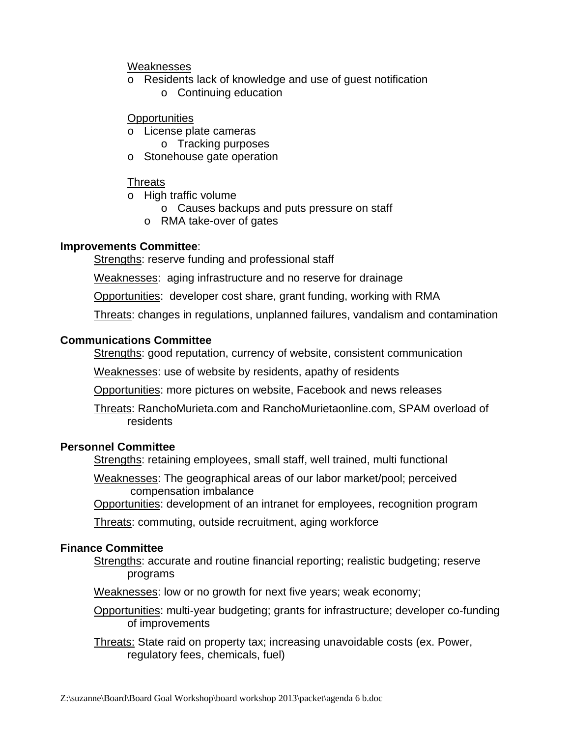#### Weaknesses

- o Residents lack of knowledge and use of guest notification
	- o Continuing education

#### **Opportunities**

- o License plate cameras
	- o Tracking purposes
- o Stonehouse gate operation

#### **Threats**

- o High traffic volume
	- o Causes backups and puts pressure on staff
	- o RMA take-over of gates

#### **Improvements Committee**:

Strengths: reserve funding and professional staff

Weaknesses: aging infrastructure and no reserve for drainage

Opportunities: developer cost share, grant funding, working with RMA

Threats: changes in regulations, unplanned failures, vandalism and contamination

#### **Communications Committee**

Strengths: good reputation, currency of website, consistent communication

Weaknesses: use of website by residents, apathy of residents

Opportunities: more pictures on website, Facebook and news releases

Threats: RanchoMurieta.com and RanchoMurietaonline.com, SPAM overload of residents

#### **Personnel Committee**

Strengths: retaining employees, small staff, well trained, multi functional

Weaknesses: The geographical areas of our labor market/pool; perceived compensation imbalance

Opportunities: development of an intranet for employees, recognition program

Threats: commuting, outside recruitment, aging workforce

### **Finance Committee**

Strengths: accurate and routine financial reporting; realistic budgeting; reserve programs

Weaknesses: low or no growth for next five years; weak economy;

Opportunities: multi-year budgeting; grants for infrastructure; developer co-funding of improvements

Threats: State raid on property tax; increasing unavoidable costs (ex. Power, regulatory fees, chemicals, fuel)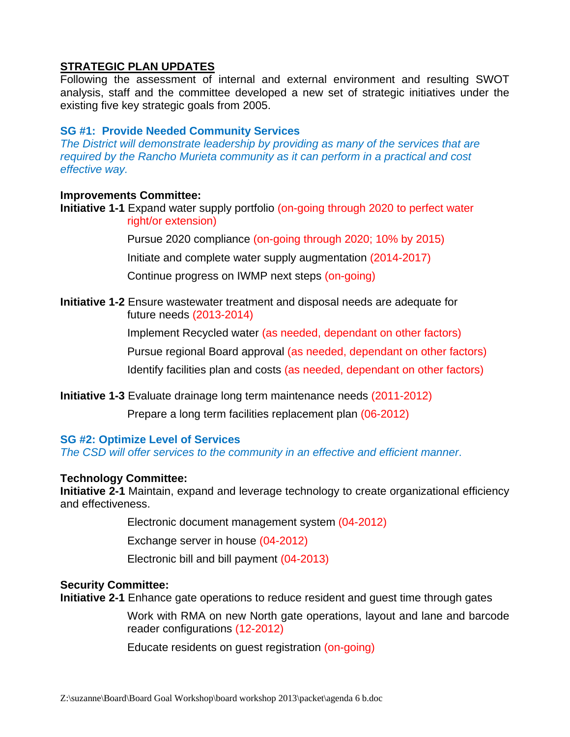### **STRATEGIC PLAN UPDATES**

Following the assessment of internal and external environment and resulting SWOT analysis, staff and the committee developed a new set of strategic initiatives under the existing five key strategic goals from 2005.

#### **SG #1: Provide Needed Community Services**

*The District will demonstrate leadership by providing as many of the services that are required by the Rancho Murieta community as it can perform in a practical and cost effective way.*

#### **Improvements Committee:**

**Initiative 1-1** Expand water supply portfolio (on-going through 2020 to perfect water right/or extension)

Pursue 2020 compliance (on-going through 2020; 10% by 2015)

Initiate and complete water supply augmentation (2014-2017)

Continue progress on IWMP next steps (on-going)

**Initiative 1-2** Ensure wastewater treatment and disposal needs are adequate for future needs (2013-2014)

Implement Recycled water (as needed, dependant on other factors)

Pursue regional Board approval (as needed, dependant on other factors)

Identify facilities plan and costs (as needed, dependant on other factors)

**Initiative 1-3** Evaluate drainage long term maintenance needs (2011-2012)

Prepare a long term facilities replacement plan (06-2012)

#### **SG #2: Optimize Level of Services**

*The CSD will offer services to the community in an effective and efficient manner*.

#### **Technology Committee:**

**Initiative 2-1** Maintain, expand and leverage technology to create organizational efficiency and effectiveness.

Electronic document management system (04-2012)

Exchange server in house (04-2012)

Electronic bill and bill payment (04-2013)

#### **Security Committee:**

**Initiative 2-1** Enhance gate operations to reduce resident and guest time through gates

Work with RMA on new North gate operations, layout and lane and barcode reader configurations (12-2012)

Educate residents on guest registration (on-going)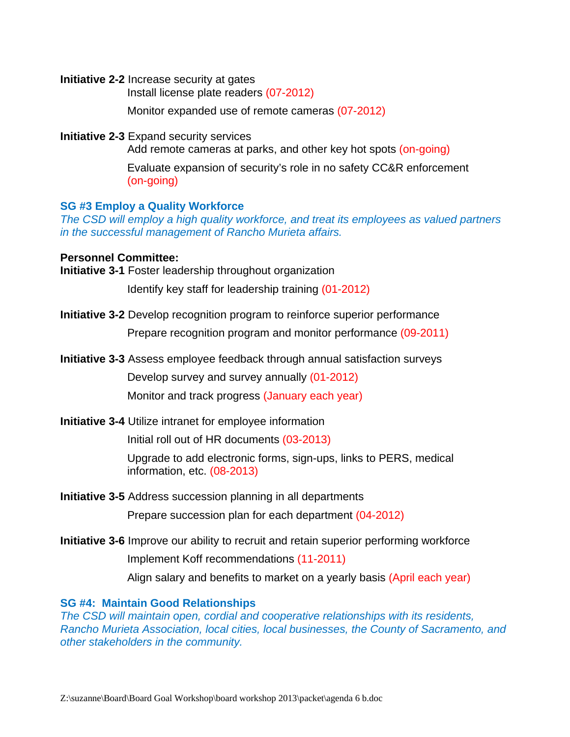**Initiative 2-2** Increase security at gates

Install license plate readers (07-2012)

Monitor expanded use of remote cameras (07-2012)

**Initiative 2-3** Expand security services

Add remote cameras at parks, and other key hot spots (on-going)

Evaluate expansion of security's role in no safety CC&R enforcement (on-going)

#### **SG #3 Employ a Quality Workforce**

*The CSD will employ a high quality workforce, and treat its employees as valued partners in the successful management of Rancho Murieta affairs.*

#### **Personnel Committee:**

**Initiative 3-1** Foster leadership throughout organization

Identify key staff for leadership training (01-2012)

**Initiative 3-2** Develop recognition program to reinforce superior performance

Prepare recognition program and monitor performance (09-2011)

**Initiative 3-3** Assess employee feedback through annual satisfaction surveys

Develop survey and survey annually (01-2012)

Monitor and track progress (January each year)

**Initiative 3-4** Utilize intranet for employee information

Initial roll out of HR documents (03-2013)

Upgrade to add electronic forms, sign-ups, links to PERS, medical information, etc. (08-2013)

**Initiative 3-5** Address succession planning in all departments

Prepare succession plan for each department (04-2012)

**Initiative 3-6** Improve our ability to recruit and retain superior performing workforce

Implement Koff recommendations (11-2011)

Align salary and benefits to market on a yearly basis (April each year)

#### **SG #4: Maintain Good Relationships**

*The CSD will maintain open, cordial and cooperative relationships with its residents, Rancho Murieta Association, local cities, local businesses, the County of Sacramento, and other stakeholders in the community.*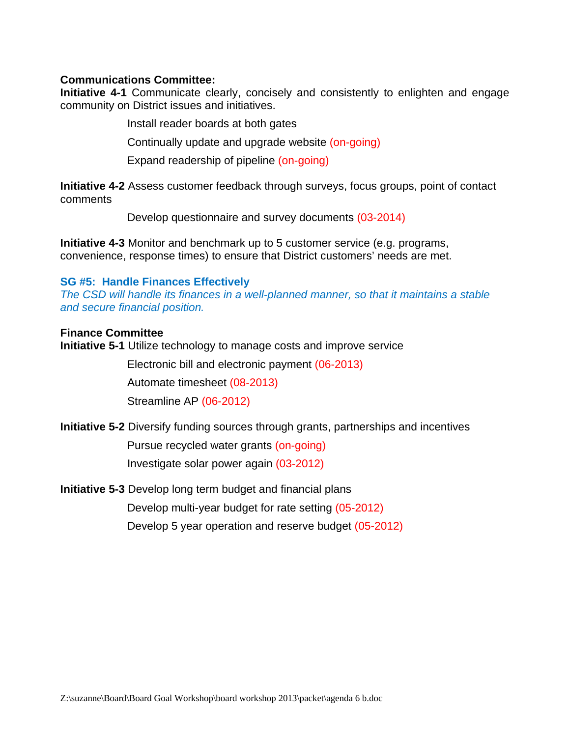#### **Communications Committee:**

**Initiative 4-1** Communicate clearly, concisely and consistently to enlighten and engage community on District issues and initiatives.

Install reader boards at both gates

Continually update and upgrade website (on-going)

Expand readership of pipeline (on-going)

**Initiative 4-2** Assess customer feedback through surveys, focus groups, point of contact comments

Develop questionnaire and survey documents (03-2014)

**Initiative 4-3** Monitor and benchmark up to 5 customer service (e.g. programs, convenience, response times) to ensure that District customers' needs are met.

#### **SG #5: Handle Finances Effectively**

*The CSD will handle its finances in a well-planned manner, so that it maintains a stable and secure financial position.*

#### **Finance Committee**

**Initiative 5-1** Utilize technology to manage costs and improve service

Electronic bill and electronic payment (06-2013)

Automate timesheet (08-2013)

Streamline AP (06-2012)

**Initiative 5-2** Diversify funding sources through grants, partnerships and incentives

Pursue recycled water grants (on-going) Investigate solar power again (03-2012)

**Initiative 5-3** Develop long term budget and financial plans

Develop multi-year budget for rate setting (05-2012)

Develop 5 year operation and reserve budget (05-2012)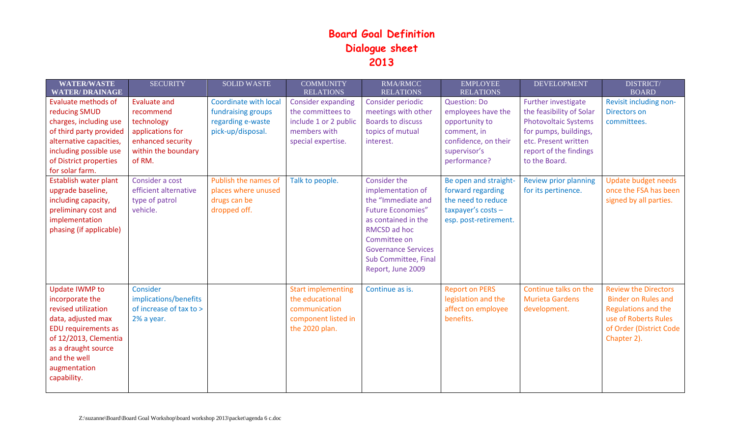## **Board Goal Definition Dialogue sheet 2013**

| <b>WATER/WASTE</b>                                                                                                                                                                                                 | <b>SECURITY</b>                                                            | <b>SOLID WASTE</b>                                                          | <b>COMMUNITY</b>                                                                                       | <b>RMA/RMCC</b>                                                                                                                                                                                                              | <b>EMPLOYEE</b>                                                                                                 | <b>DEVELOPMENT</b>                                              | <b>DISTRICT/</b>                                                                                                                                   |
|--------------------------------------------------------------------------------------------------------------------------------------------------------------------------------------------------------------------|----------------------------------------------------------------------------|-----------------------------------------------------------------------------|--------------------------------------------------------------------------------------------------------|------------------------------------------------------------------------------------------------------------------------------------------------------------------------------------------------------------------------------|-----------------------------------------------------------------------------------------------------------------|-----------------------------------------------------------------|----------------------------------------------------------------------------------------------------------------------------------------------------|
| <b>WATER/DRAINAGE</b>                                                                                                                                                                                              |                                                                            |                                                                             | <b>RELATIONS</b>                                                                                       | <b>RELATIONS</b>                                                                                                                                                                                                             | <b>RELATIONS</b>                                                                                                |                                                                 | <b>BOARD</b>                                                                                                                                       |
| <b>Evaluate methods of</b>                                                                                                                                                                                         | <b>Evaluate and</b>                                                        | Coordinate with local                                                       | <b>Consider expanding</b>                                                                              | Consider periodic                                                                                                                                                                                                            | <b>Question: Do</b>                                                                                             | Further investigate                                             | Revisit including non-                                                                                                                             |
| reducing SMUD                                                                                                                                                                                                      | recommend                                                                  | fundraising groups                                                          | the committees to                                                                                      | meetings with other                                                                                                                                                                                                          | employees have the                                                                                              | the feasibility of Solar                                        | <b>Directors on</b>                                                                                                                                |
| charges, including use                                                                                                                                                                                             | technology                                                                 | regarding e-waste                                                           | include 1 or 2 public                                                                                  | <b>Boards to discuss</b>                                                                                                                                                                                                     | opportunity to                                                                                                  | <b>Photovoltaic Systems</b>                                     | committees.                                                                                                                                        |
| of third party provided                                                                                                                                                                                            | applications for                                                           | pick-up/disposal.                                                           | members with                                                                                           | topics of mutual                                                                                                                                                                                                             | comment, in                                                                                                     | for pumps, buildings,                                           |                                                                                                                                                    |
| alternative capacities,                                                                                                                                                                                            | enhanced security                                                          |                                                                             | special expertise.                                                                                     | interest.                                                                                                                                                                                                                    | confidence, on their                                                                                            | etc. Present written                                            |                                                                                                                                                    |
| including possible use                                                                                                                                                                                             | within the boundary                                                        |                                                                             |                                                                                                        |                                                                                                                                                                                                                              | supervisor's                                                                                                    | report of the findings                                          |                                                                                                                                                    |
| of District properties                                                                                                                                                                                             | of RM.                                                                     |                                                                             |                                                                                                        |                                                                                                                                                                                                                              | performance?                                                                                                    | to the Board.                                                   |                                                                                                                                                    |
| for solar farm.                                                                                                                                                                                                    |                                                                            |                                                                             |                                                                                                        |                                                                                                                                                                                                                              |                                                                                                                 |                                                                 |                                                                                                                                                    |
| Establish water plant<br>upgrade baseline,<br>including capacity,<br>preliminary cost and<br>implementation<br>phasing (if applicable)                                                                             | Consider a cost<br>efficient alternative<br>type of patrol<br>vehicle.     | Publish the names of<br>places where unused<br>drugs can be<br>dropped off. | Talk to people.                                                                                        | <b>Consider the</b><br>implementation of<br>the "Immediate and<br><b>Future Economies"</b><br>as contained in the<br>RMCSD ad hoc<br>Committee on<br><b>Governance Services</b><br>Sub Committee, Final<br>Report, June 2009 | Be open and straight-<br>forward regarding<br>the need to reduce<br>taxpayer's costs -<br>esp. post-retirement. | Review prior planning<br>for its pertinence.                    | <b>Update budget needs</b><br>once the FSA has been<br>signed by all parties.                                                                      |
| <b>Update IWMP to</b><br>incorporate the<br>revised utilization<br>data, adjusted max<br><b>EDU</b> requirements as<br>of 12/2013, Clementia<br>as a draught source<br>and the well<br>augmentation<br>capability. | Consider<br>implications/benefits<br>of increase of tax to ><br>2% a year. |                                                                             | <b>Start implementing</b><br>the educational<br>communication<br>component listed in<br>the 2020 plan. | Continue as is.                                                                                                                                                                                                              | <b>Report on PERS</b><br>legislation and the<br>affect on employee<br>benefits.                                 | Continue talks on the<br><b>Murieta Gardens</b><br>development. | <b>Review the Directors</b><br><b>Binder on Rules and</b><br>Regulations and the<br>use of Roberts Rules<br>of Order (District Code<br>Chapter 2). |